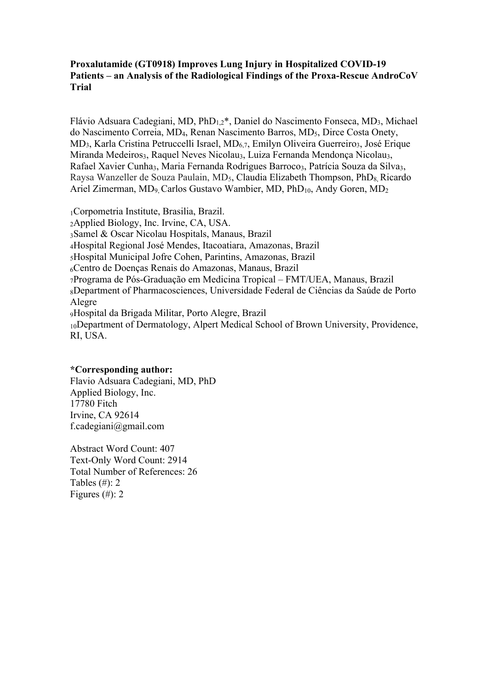# **Proxalutamide (GT0918) Improves Lung Injury in Hospitalized COVID-19 Patients – an Analysis of the Radiological Findings of the Proxa-Rescue AndroCoV Trial**

Flávio Adsuara Cadegiani, MD,  $PhD_{1,2}^*$ , Daniel do Nascimento Fonseca, MD<sub>3</sub>, Michael do Nascimento Correia, MD4, Renan Nascimento Barros, MD5, Dirce Costa Onety, MD<sub>3</sub>, Karla Cristina Petruccelli Israel, MD<sub>6,7</sub>, Emilyn Oliveira Guerreiro<sub>3</sub>, José Erique Miranda Medeiros<sub>3</sub>, Raquel Neves Nicolau<sub>3</sub>, Luiza Fernanda Mendonça Nicolau<sub>3</sub>, Rafael Xavier Cunha<sub>3</sub>, Maria Fernanda Rodrigues Barroco<sub>3</sub>, Patrícia Souza da Silva<sub>3</sub>, Raysa Wanzeller de Souza Paulain, MD<sub>5</sub>, Claudia Elizabeth Thompson, PhD<sub>8</sub> Ricardo Ariel Zimerman, MD<sub>9</sub> Carlos Gustavo Wambier, MD, PhD<sub>10</sub>, Andy Goren, MD<sub>2</sub>

1Corpometria Institute, Brasilia, Brazil. 2Applied Biology, Inc. Irvine, CA, USA. 3Samel & Oscar Nicolau Hospitals, Manaus, Brazil 4Hospital Regional José Mendes, Itacoatiara, Amazonas, Brazil 5Hospital Municipal Jofre Cohen, Parintins, Amazonas, Brazil 6Centro de Doenças Renais do Amazonas, Manaus, Brazil 7Programa de Pós-Graduação em Medicina Tropical – FMT/UEA, Manaus, Brazil 8Department of Pharmacosciences, Universidade Federal de Ciências da Saúde de Porto Alegre 9Hospital da Brigada Militar, Porto Alegre, Brazil 10Department of Dermatology, Alpert Medical School of Brown University, Providence, RI, USA.

## **\*Corresponding author:**

Flavio Adsuara Cadegiani, MD, PhD Applied Biology, Inc. 17780 Fitch Irvine, CA 92614 f.cadegiani@gmail.com

Abstract Word Count: 407 Text-Only Word Count: 2914 Total Number of References: 26 Tables  $(\#)$ : 2 Figures  $(\#)$ : 2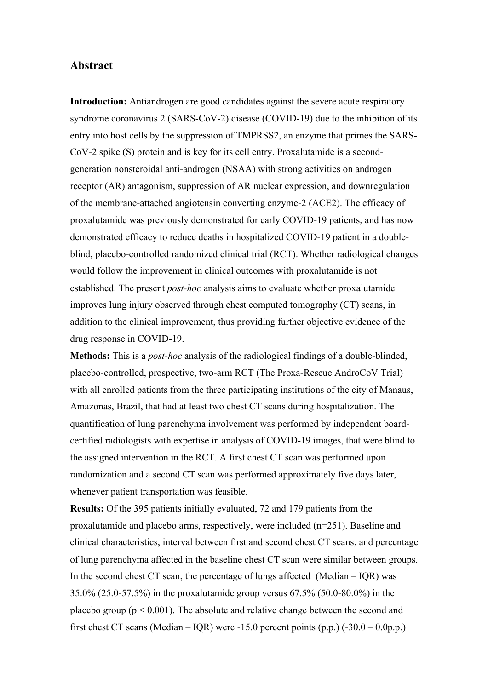# **Abstract**

**Introduction:** Antiandrogen are good candidates against the severe acute respiratory syndrome coronavirus 2 (SARS-CoV-2) disease (COVID-19) due to the inhibition of its entry into host cells by the suppression of TMPRSS2, an enzyme that primes the SARS-CoV-2 spike (S) protein and is key for its cell entry. Proxalutamide is a secondgeneration nonsteroidal anti-androgen (NSAA) with strong activities on androgen receptor (AR) antagonism, suppression of AR nuclear expression, and downregulation of the membrane-attached angiotensin converting enzyme-2 (ACE2). The efficacy of proxalutamide was previously demonstrated for early COVID-19 patients, and has now demonstrated efficacy to reduce deaths in hospitalized COVID-19 patient in a doubleblind, placebo-controlled randomized clinical trial (RCT). Whether radiological changes would follow the improvement in clinical outcomes with proxalutamide is not established. The present *post-hoc* analysis aims to evaluate whether proxalutamide improves lung injury observed through chest computed tomography (CT) scans, in addition to the clinical improvement, thus providing further objective evidence of the drug response in COVID-19.

**Methods:** This is a *post-hoc* analysis of the radiological findings of a double-blinded, placebo-controlled, prospective, two-arm RCT (The Proxa-Rescue AndroCoV Trial) with all enrolled patients from the three participating institutions of the city of Manaus, Amazonas, Brazil, that had at least two chest CT scans during hospitalization. The quantification of lung parenchyma involvement was performed by independent boardcertified radiologists with expertise in analysis of COVID-19 images, that were blind to the assigned intervention in the RCT. A first chest CT scan was performed upon randomization and a second CT scan was performed approximately five days later, whenever patient transportation was feasible.

**Results:** Of the 395 patients initially evaluated, 72 and 179 patients from the proxalutamide and placebo arms, respectively, were included (n=251). Baseline and clinical characteristics, interval between first and second chest CT scans, and percentage of lung parenchyma affected in the baseline chest CT scan were similar between groups. In the second chest CT scan, the percentage of lungs affected (Median  $-$  IQR) was 35.0% (25.0-57.5%) in the proxalutamide group versus 67.5% (50.0-80.0%) in the placebo group ( $p < 0.001$ ). The absolute and relative change between the second and first chest CT scans (Median – IQR) were  $-15.0$  percent points (p.p.) ( $-30.0 - 0.0$ p.p.)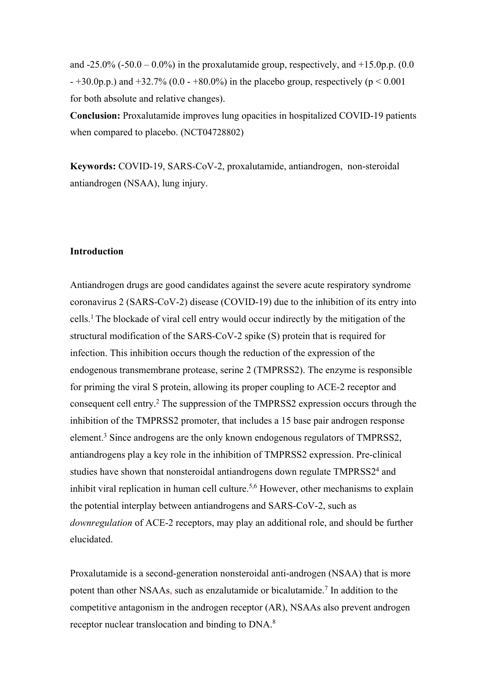and  $-25.0\%$  ( $-50.0 - 0.0\%$ ) in the proxalutamide group, respectively, and  $+15.0$ p.p. (0.0)  $- +30.0$ p.p.) and  $+32.7\%$  (0.0  $- +80.0\%$ ) in the placebo group, respectively (p < 0.001 for both absolute and relative changes).

**Conclusion:** Proxalutamide improves lung opacities in hospitalized COVID-19 patients when compared to placebo. (NCT04728802)

**Keywords:** COVID-19, SARS-CoV-2, proxalutamide, antiandrogen, non-steroidal antiandrogen (NSAA), lung injury.

#### **Introduction**

Antiandrogen drugs are good candidates against the severe acute respiratory syndrome coronavirus 2 (SARS-CoV-2) disease (COVID-19) due to the inhibition of its entry into cells.1 The blockade of viral cell entry would occur indirectly by the mitigation of the structural modification of the SARS-CoV-2 spike (S) protein that is required for infection. This inhibition occurs though the reduction of the expression of the endogenous transmembrane protease, serine 2 (TMPRSS2). The enzyme is responsible for priming the viral S protein, allowing its proper coupling to ACE-2 receptor and consequent cell entry. <sup>2</sup> The suppression of the TMPRSS2 expression occurs through the inhibition of the TMPRSS2 promoter, that includes a 15 base pair androgen response element.<sup>3</sup> Since androgens are the only known endogenous regulators of TMPRSS2, antiandrogens play a key role in the inhibition of TMPRSS2 expression. Pre-clinical studies have shown that nonsteroidal antiandrogens down regulate TMPRSS2<sup>4</sup> and inhibit viral replication in human cell culture.<sup>5,6</sup> However, other mechanisms to explain the potential interplay between antiandrogens and SARS-CoV-2, such as *downregulation* of ACE-2 receptors, may play an additional role, and should be further elucidated.

Proxalutamide is a second-generation nonsteroidal anti-androgen (NSAA) that is more potent than other NSAAs, such as enzalutamide or bicalutamide.<sup>7</sup> In addition to the competitive antagonism in the androgen receptor (AR), NSAAs also prevent androgen receptor nuclear translocation and binding to DNA.<sup>8</sup>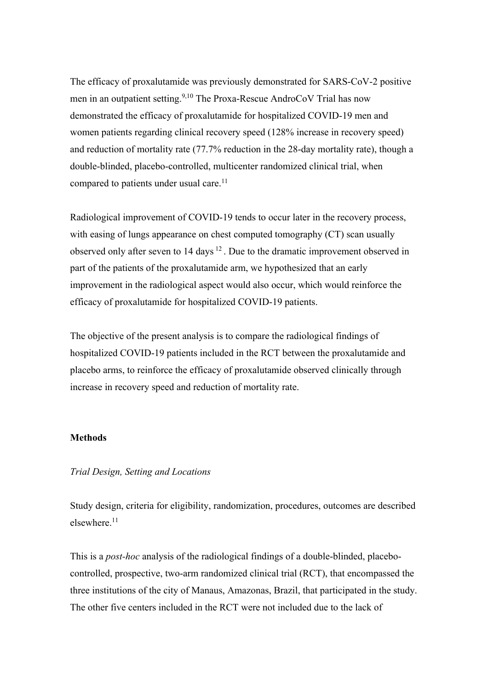The efficacy of proxalutamide was previously demonstrated for SARS-CoV-2 positive men in an outpatient setting.<sup>9,10</sup> The Proxa-Rescue AndroCoV Trial has now demonstrated the efficacy of proxalutamide for hospitalized COVID-19 men and women patients regarding clinical recovery speed (128% increase in recovery speed) and reduction of mortality rate (77.7% reduction in the 28-day mortality rate), though a double-blinded, placebo-controlled, multicenter randomized clinical trial, when compared to patients under usual care.<sup>11</sup>

Radiological improvement of COVID-19 tends to occur later in the recovery process, with easing of lungs appearance on chest computed tomography (CT) scan usually observed only after seven to 14 days <sup>12</sup>. Due to the dramatic improvement observed in part of the patients of the proxalutamide arm, we hypothesized that an early improvement in the radiological aspect would also occur, which would reinforce the efficacy of proxalutamide for hospitalized COVID-19 patients.

The objective of the present analysis is to compare the radiological findings of hospitalized COVID-19 patients included in the RCT between the proxalutamide and placebo arms, to reinforce the efficacy of proxalutamide observed clinically through increase in recovery speed and reduction of mortality rate.

## **Methods**

## *Trial Design, Setting and Locations*

Study design, criteria for eligibility, randomization, procedures, outcomes are described elsewhere.11

This is a *post-hoc* analysis of the radiological findings of a double-blinded, placebocontrolled, prospective, two-arm randomized clinical trial (RCT), that encompassed the three institutions of the city of Manaus, Amazonas, Brazil, that participated in the study. The other five centers included in the RCT were not included due to the lack of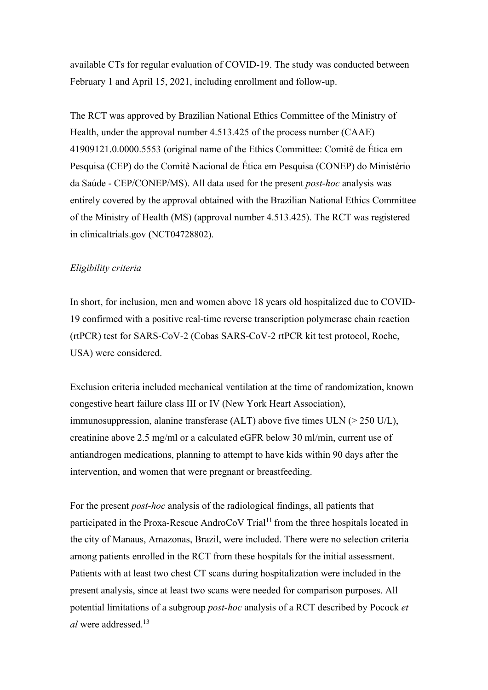available CTs for regular evaluation of COVID-19. The study was conducted between February 1 and April 15, 2021, including enrollment and follow-up.

The RCT was approved by Brazilian National Ethics Committee of the Ministry of Health, under the approval number 4.513.425 of the process number (CAAE) 41909121.0.0000.5553 (original name of the Ethics Committee: Comitê de Ética em Pesquisa (CEP) do the Comitê Nacional de Ética em Pesquisa (CONEP) do Ministério da Saúde - CEP/CONEP/MS). All data used for the present *post-hoc* analysis was entirely covered by the approval obtained with the Brazilian National Ethics Committee of the Ministry of Health (MS) (approval number 4.513.425). The RCT was registered in clinicaltrials.gov (NCT04728802).

## *Eligibility criteria*

In short, for inclusion, men and women above 18 years old hospitalized due to COVID-19 confirmed with a positive real-time reverse transcription polymerase chain reaction (rtPCR) test for SARS-CoV-2 (Cobas SARS-CoV-2 rtPCR kit test protocol, Roche, USA) were considered.

Exclusion criteria included mechanical ventilation at the time of randomization, known congestive heart failure class III or IV (New York Heart Association), immunosuppression, alanine transferase (ALT) above five times ULN (> 250 U/L), creatinine above 2.5 mg/ml or a calculated eGFR below 30 ml/min, current use of antiandrogen medications, planning to attempt to have kids within 90 days after the intervention, and women that were pregnant or breastfeeding.

For the present *post-hoc* analysis of the radiological findings, all patients that participated in the Proxa-Rescue AndroCoV Trial<sup>11</sup> from the three hospitals located in the city of Manaus, Amazonas, Brazil, were included. There were no selection criteria among patients enrolled in the RCT from these hospitals for the initial assessment. Patients with at least two chest CT scans during hospitalization were included in the present analysis, since at least two scans were needed for comparison purposes. All potential limitations of a subgroup *post-hoc* analysis of a RCT described by Pocock *et al* were addressed.<sup>13</sup>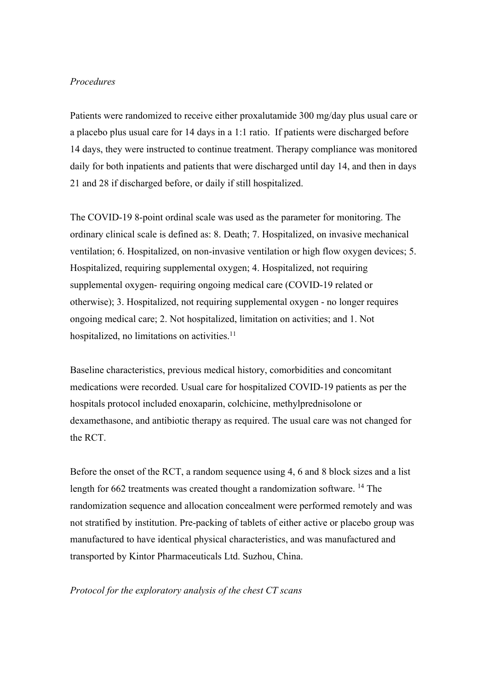# *Procedures*

Patients were randomized to receive either proxalutamide 300 mg/day plus usual care or a placebo plus usual care for 14 days in a 1:1 ratio. If patients were discharged before 14 days, they were instructed to continue treatment. Therapy compliance was monitored daily for both inpatients and patients that were discharged until day 14, and then in days 21 and 28 if discharged before, or daily if still hospitalized.

The COVID-19 8-point ordinal scale was used as the parameter for monitoring. The ordinary clinical scale is defined as: 8. Death; 7. Hospitalized, on invasive mechanical ventilation; 6. Hospitalized, on non-invasive ventilation or high flow oxygen devices; 5. Hospitalized, requiring supplemental oxygen; 4. Hospitalized, not requiring supplemental oxygen- requiring ongoing medical care (COVID-19 related or otherwise); 3. Hospitalized, not requiring supplemental oxygen - no longer requires ongoing medical care; 2. Not hospitalized, limitation on activities; and 1. Not hospitalized, no limitations on activities.<sup>11</sup>

Baseline characteristics, previous medical history, comorbidities and concomitant medications were recorded. Usual care for hospitalized COVID-19 patients as per the hospitals protocol included enoxaparin, colchicine, methylprednisolone or dexamethasone, and antibiotic therapy as required. The usual care was not changed for the RCT.

Before the onset of the RCT, a random sequence using 4, 6 and 8 block sizes and a list length for 662 treatments was created thought a randomization software. <sup>14</sup> The randomization sequence and allocation concealment were performed remotely and was not stratified by institution. Pre-packing of tablets of either active or placebo group was manufactured to have identical physical characteristics, and was manufactured and transported by Kintor Pharmaceuticals Ltd. Suzhou, China.

## *Protocol for the exploratory analysis of the chest CT scans*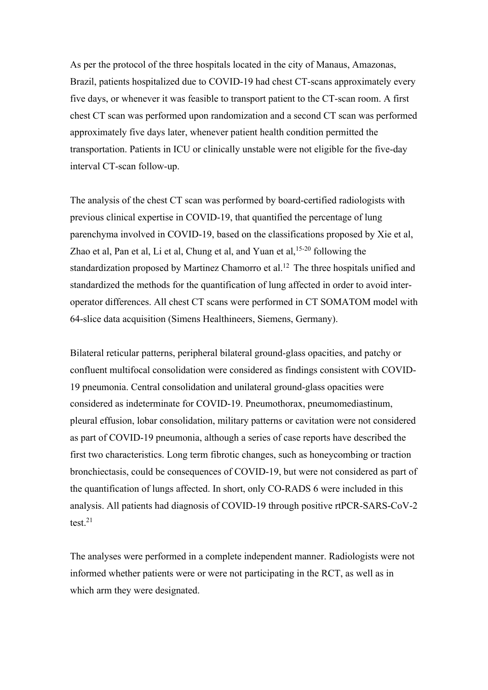As per the protocol of the three hospitals located in the city of Manaus, Amazonas, Brazil, patients hospitalized due to COVID-19 had chest CT-scans approximately every five days, or whenever it was feasible to transport patient to the CT-scan room. A first chest CT scan was performed upon randomization and a second CT scan was performed approximately five days later, whenever patient health condition permitted the transportation. Patients in ICU or clinically unstable were not eligible for the five-day interval CT-scan follow-up.

The analysis of the chest CT scan was performed by board-certified radiologists with previous clinical expertise in COVID-19, that quantified the percentage of lung parenchyma involved in COVID-19, based on the classifications proposed by Xie et al, Zhao et al, Pan et al, Li et al, Chung et al, and Yuan et al,  $15-20$  following the standardization proposed by Martinez Chamorro et al.<sup>12</sup> The three hospitals unified and standardized the methods for the quantification of lung affected in order to avoid interoperator differences. All chest CT scans were performed in CT SOMATOM model with 64-slice data acquisition (Simens Healthineers, Siemens, Germany).

Bilateral reticular patterns, peripheral bilateral ground-glass opacities, and patchy or confluent multifocal consolidation were considered as findings consistent with COVID-19 pneumonia. Central consolidation and unilateral ground-glass opacities were considered as indeterminate for COVID-19. Pneumothorax, pneumomediastinum, pleural effusion, lobar consolidation, military patterns or cavitation were not considered as part of COVID-19 pneumonia, although a series of case reports have described the first two characteristics. Long term fibrotic changes, such as honeycombing or traction bronchiectasis, could be consequences of COVID-19, but were not considered as part of the quantification of lungs affected. In short, only CO-RADS 6 were included in this analysis. All patients had diagnosis of COVID-19 through positive rtPCR-SARS-CoV-2 test.21

The analyses were performed in a complete independent manner. Radiologists were not informed whether patients were or were not participating in the RCT, as well as in which arm they were designated.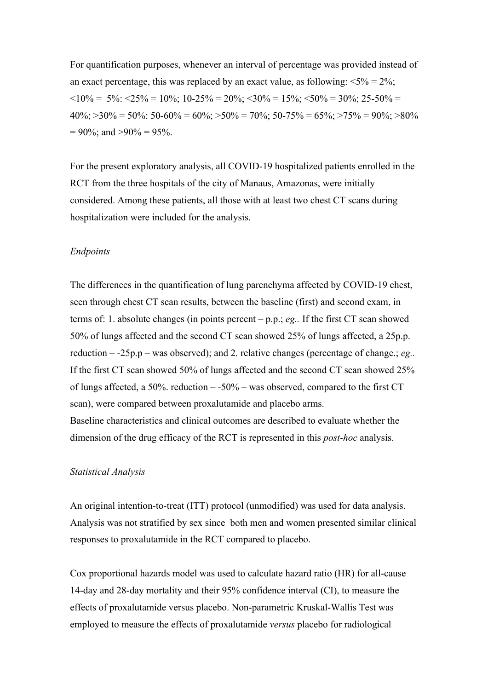For quantification purposes, whenever an interval of percentage was provided instead of an exact percentage, this was replaced by an exact value, as following:  $\langle 5\% \rangle = 2\%;$  $\langle 10\% = 5\% : \langle 25\% = 10\% : 10\text{-}25\% = 20\% : \langle 30\% = 15\% : \langle 50\% = 30\% : 25\text{-}50\% =$  $40\%$ ;  $>30\% = 50\%$ :  $50-60\% = 60\%$ ;  $>50\% = 70\%$ ;  $50-75\% = 65\%$ ;  $>75\% = 90\%$ ;  $>80\%$  $= 90\%$ ; and  $> 90\% = 95\%$ .

For the present exploratory analysis, all COVID-19 hospitalized patients enrolled in the RCT from the three hospitals of the city of Manaus, Amazonas, were initially considered. Among these patients, all those with at least two chest CT scans during hospitalization were included for the analysis.

#### *Endpoints*

The differences in the quantification of lung parenchyma affected by COVID-19 chest, seen through chest CT scan results, between the baseline (first) and second exam, in terms of: 1. absolute changes (in points percent – p.p.; *eg..* If the first CT scan showed 50% of lungs affected and the second CT scan showed 25% of lungs affected, a 25p.p. reduction – -25p.p – was observed); and 2. relative changes (percentage of change.; *eg..* If the first CT scan showed 50% of lungs affected and the second CT scan showed 25% of lungs affected, a 50%. reduction  $-50\%$  – was observed, compared to the first CT scan), were compared between proxalutamide and placebo arms. Baseline characteristics and clinical outcomes are described to evaluate whether the dimension of the drug efficacy of the RCT is represented in this *post-hoc* analysis.

## *Statistical Analysis*

An original intention-to-treat (ITT) protocol (unmodified) was used for data analysis. Analysis was not stratified by sex since both men and women presented similar clinical responses to proxalutamide in the RCT compared to placebo.

Cox proportional hazards model was used to calculate hazard ratio (HR) for all-cause 14-day and 28-day mortality and their 95% confidence interval (CI), to measure the effects of proxalutamide versus placebo. Non-parametric Kruskal-Wallis Test was employed to measure the effects of proxalutamide *versus* placebo for radiological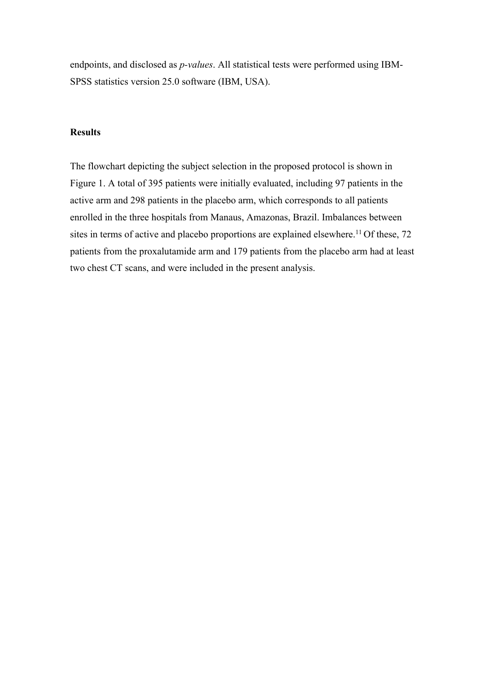endpoints, and disclosed as *p-values*. All statistical tests were performed using IBM-SPSS statistics version 25.0 software (IBM, USA).

# **Results**

The flowchart depicting the subject selection in the proposed protocol is shown in Figure 1. A total of 395 patients were initially evaluated, including 97 patients in the active arm and 298 patients in the placebo arm, which corresponds to all patients enrolled in the three hospitals from Manaus, Amazonas, Brazil. Imbalances between sites in terms of active and placebo proportions are explained elsewhere.<sup>11</sup> Of these,  $72$ patients from the proxalutamide arm and 179 patients from the placebo arm had at least two chest CT scans, and were included in the present analysis.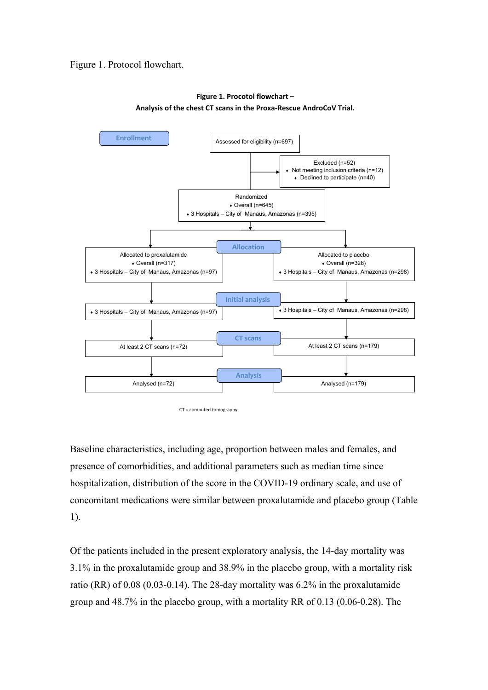## Figure 1. Protocol flowchart.



#### **Figure 1. Procotol flowchart – Analysis of the chest CT scans in the Proxa-Rescue AndroCoV Trial.**

CT = computed tomography

Baseline characteristics, including age, proportion between males and females, and presence of comorbidities, and additional parameters such as median time since hospitalization, distribution of the score in the COVID-19 ordinary scale, and use of concomitant medications were similar between proxalutamide and placebo group (Table 1).

Of the patients included in the present exploratory analysis, the 14-day mortality was 3.1% in the proxalutamide group and 38.9% in the placebo group, with a mortality risk ratio (RR) of 0.08 (0.03-0.14). The 28-day mortality was 6.2% in the proxalutamide group and 48.7% in the placebo group, with a mortality RR of 0.13 (0.06-0.28). The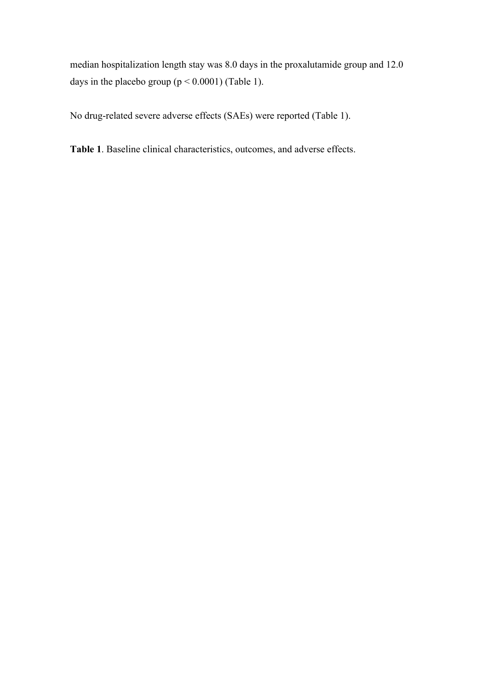median hospitalization length stay was 8.0 days in the proxalutamide group and 12.0 days in the placebo group  $(p < 0.0001)$  (Table 1).

No drug-related severe adverse effects (SAEs) were reported (Table 1).

**Table 1**. Baseline clinical characteristics, outcomes, and adverse effects.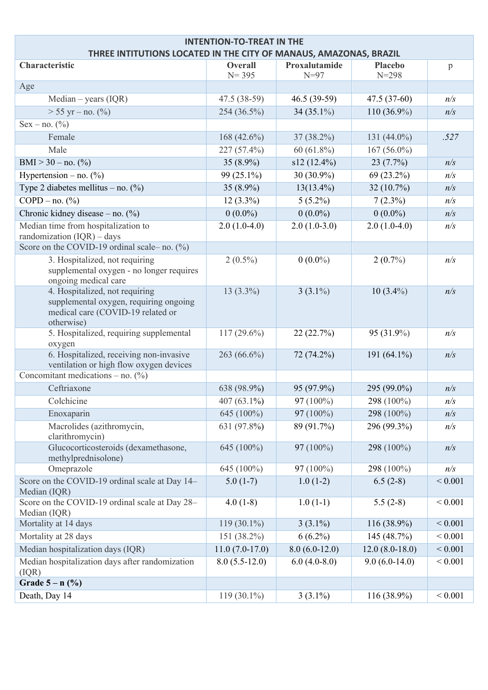| <b>INTENTION-TO-TREAT IN THE</b><br>THREE INTITUTIONS LOCATED IN THE CITY OF MANAUS, AMAZONAS, BRAZIL |                  |                 |                  |             |  |  |  |
|-------------------------------------------------------------------------------------------------------|------------------|-----------------|------------------|-------------|--|--|--|
| Characteristic                                                                                        | <b>Overall</b>   | Proxalutamide   | <b>Placebo</b>   | p           |  |  |  |
|                                                                                                       | $N = 395$        | $N=97$          | $N = 298$        |             |  |  |  |
| Age                                                                                                   |                  |                 |                  |             |  |  |  |
| $Median - years (IQR)$                                                                                | 47.5 (38-59)     | 46.5 (39-59)    | $47.5(37-60)$    | n/s         |  |  |  |
| $> 55$ yr – no. $(\% )$                                                                               | 254 (36.5%)      | 34 $(35.1\%)$   | $110(36.9\%)$    | n/s         |  |  |  |
| $Sex - no. (%)$                                                                                       |                  |                 |                  |             |  |  |  |
| Female                                                                                                | 168 $(42.6\%)$   | 37 (38.2%)      | 131 (44.0%)      | .527        |  |  |  |
| Male                                                                                                  | 227 (57.4%)      | $60(61.8\%)$    | $167(56.0\%)$    |             |  |  |  |
| BMI > 30 - no. $(\% )$                                                                                | 35 $(8.9\%)$     | s12(12.4%)      | 23(7.7%)         | n/s         |  |  |  |
| Hypertension – no. $(\%)$                                                                             | 99 (25.1%)       | 30 (30.9%)      | 69 (23.2%)       | n/s         |  |  |  |
| Type 2 diabetes mellitus – no. $(\%)$                                                                 | 35 $(8.9\%)$     | $13(13.4\%)$    | 32 (10.7%)       | n/s         |  |  |  |
| $COPD - no.$ (%)                                                                                      | $12(3.3\%)$      | $5(5.2\%)$      | $7(2.3\%)$       | n/s         |  |  |  |
| Chronic kidney disease – no. $(\%)$                                                                   | $0(0.0\%)$       | $0(0.0\%)$      | $0(0.0\%)$       | n/s         |  |  |  |
| Median time from hospitalization to                                                                   | $2.0(1.0-4.0)$   | $2.0(1.0-3.0)$  | $2.0(1.0-4.0)$   | n/s         |  |  |  |
| randomization $(IQR)$ - days                                                                          |                  |                 |                  |             |  |  |  |
| Score on the COVID-19 ordinal scale– no. $(\%)$                                                       |                  |                 |                  |             |  |  |  |
| 3. Hospitalized, not requiring<br>supplemental oxygen - no longer requires                            | $2(0.5\%)$       | $0(0.0\%)$      | $2(0.7\%)$       | n/s         |  |  |  |
| ongoing medical care                                                                                  |                  |                 |                  |             |  |  |  |
| 4. Hospitalized, not requiring                                                                        | $13(3.3\%)$      | $3(3.1\%)$      | $10(3.4\%)$      | n/s         |  |  |  |
| supplemental oxygen, requiring ongoing                                                                |                  |                 |                  |             |  |  |  |
| medical care (COVID-19 related or<br>otherwise)                                                       |                  |                 |                  |             |  |  |  |
| 5. Hospitalized, requiring supplemental                                                               | $117(29.6\%)$    | 22(22.7%)       | 95 (31.9%)       | n/s         |  |  |  |
| oxygen                                                                                                |                  |                 |                  |             |  |  |  |
| 6. Hospitalized, receiving non-invasive                                                               | 263 (66.6%)      | 72 (74.2%)      | 191 (64.1%)      | n/s         |  |  |  |
| ventilation or high flow oxygen devices<br>Concomitant medications – no. $(\%)$                       |                  |                 |                  |             |  |  |  |
| Ceftriaxone                                                                                           |                  |                 |                  |             |  |  |  |
| Colchicine                                                                                            | 638 (98.9%)      | 95 (97.9%)      | 295 (99.0%)      | n/s         |  |  |  |
|                                                                                                       | 407 (63.1%)      | 97 (100%)       | 298 (100%)       | n/s         |  |  |  |
| Enoxaparin                                                                                            | 645 (100%)       | 97 (100%)       | 298 (100%)       | n/s         |  |  |  |
| Macrolides (azithromycin,<br>clarithromycin)                                                          | 631 (97.8%)      | 89 (91.7%)      | 296 (99.3%)      | n/s         |  |  |  |
| Glucocorticosteroids (dexamethasone,<br>methylprednisolone)                                           | 645 (100%)       | 97 (100%)       | 298 (100%)       | n/s         |  |  |  |
| Omeprazole                                                                                            | 645 (100%)       | 97 (100%)       | 298 (100%)       | n/s         |  |  |  |
| Score on the COVID-19 ordinal scale at Day 14-                                                        | $5.0(1-7)$       | $1.0(1-2)$      | $6.5(2-8)$       | ${}< 0.001$ |  |  |  |
| Median (IQR)                                                                                          |                  |                 |                  |             |  |  |  |
| Score on the COVID-19 ordinal scale at Day 28-                                                        | $4.0(1-8)$       | $1.0(1-1)$      | $5.5(2-8)$       | ${}< 0.001$ |  |  |  |
| Median (IQR)                                                                                          |                  |                 |                  |             |  |  |  |
| Mortality at 14 days                                                                                  | $119(30.1\%)$    | $3(3.1\%)$      | 116 (38.9%)      | ${}< 0.001$ |  |  |  |
| Mortality at 28 days                                                                                  | $151(38.2\%)$    | $6(6.2\%)$      | 145 (48.7%)      | ${}< 0.001$ |  |  |  |
| Median hospitalization days (IQR)                                                                     | $11.0(7.0-17.0)$ | $8.0(6.0-12.0)$ | $12.0(8.0-18.0)$ | ${}< 0.001$ |  |  |  |
| Median hospitalization days after randomization<br>(IQR)                                              | $8.0(5.5-12.0)$  | $6.0(4.0-8.0)$  | $9.0(6.0-14.0)$  | ${}< 0.001$ |  |  |  |
| Grade $5 - n$ (%)                                                                                     |                  |                 |                  |             |  |  |  |
| Death, Day 14                                                                                         | 119 $(30.1\%)$   | $3(3.1\%)$      | 116 (38.9%)      | ${}< 0.001$ |  |  |  |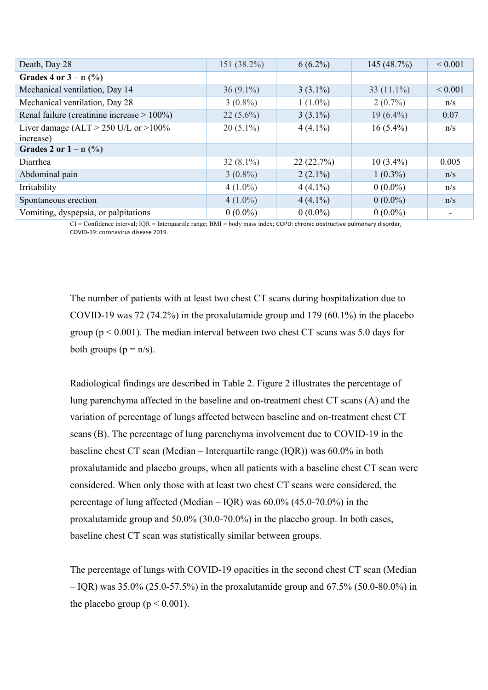| Death, Day 28                                          | 151 (38.2%) | $6(6.2\%)$ | 145 $(48.7%)$ | ${}_{0.001}$ |
|--------------------------------------------------------|-------------|------------|---------------|--------------|
| Grades 4 or $3 - n$ (%)                                |             |            |               |              |
| Mechanical ventilation, Day 14                         | $36(9.1\%)$ | $3(3.1\%)$ | 33 $(11.1\%)$ | ${}_{0.001}$ |
| Mechanical ventilation, Day 28                         | $3(0.8\%)$  | $1(1.0\%)$ | $2(0.7\%)$    | n/s          |
| Renal failure (creatinine increase $> 100\%$ )         | $22(5.6\%)$ | $3(3.1\%)$ | $19(6.4\%)$   | 0.07         |
| Liver damage (ALT $>$ 250 U/L or $>$ 100%<br>increase) | $20(5.1\%)$ | $4(4.1\%)$ | $16(5.4\%)$   | n/s          |
| Grades 2 or $1 - n$ (%)                                |             |            |               |              |
| Diarrhea                                               | $32(8.1\%)$ | 22(22.7%)  | $10(3.4\%)$   | 0.005        |
| Abdominal pain                                         | $3(0.8\%)$  | $2(2.1\%)$ | $1(0.3\%)$    | n/s          |
| Irritability                                           | $4(1.0\%)$  | $4(4.1\%)$ | $0(0.0\%)$    | n/s          |
| Spontaneous erection                                   | $4(1.0\%)$  | $4(4.1\%)$ | $0(0.0\%)$    | n/s          |
| Vomiting, dyspepsia, or palpitations                   | $0(0.0\%)$  | $0(0.0\%)$ | $0(0.0\%)$    |              |

CI = Confidence interval; IQR = Interquartile range; BMI = body mass index; COPD: chronic obstructive pulmonary disorder, COVID-19: coronavirus disease 2019.

The number of patients with at least two chest CT scans during hospitalization due to COVID-19 was 72 (74.2%) in the proxalutamide group and 179 (60.1%) in the placebo group ( $p < 0.001$ ). The median interval between two chest CT scans was 5.0 days for both groups  $(p = n/s)$ .

Radiological findings are described in Table 2. Figure 2 illustrates the percentage of lung parenchyma affected in the baseline and on-treatment chest CT scans (A) and the variation of percentage of lungs affected between baseline and on-treatment chest CT scans (B). The percentage of lung parenchyma involvement due to COVID-19 in the baseline chest CT scan (Median – Interquartile range (IQR)) was 60.0% in both proxalutamide and placebo groups, when all patients with a baseline chest CT scan were considered. When only those with at least two chest CT scans were considered, the percentage of lung affected (Median – IQR) was  $60.0\%$  (45.0-70.0%) in the proxalutamide group and 50.0% (30.0-70.0%) in the placebo group. In both cases, baseline chest CT scan was statistically similar between groups.

The percentage of lungs with COVID-19 opacities in the second chest CT scan (Median  $-$  IQR) was 35.0% (25.0-57.5%) in the proxalutamide group and 67.5% (50.0-80.0%) in the placebo group ( $p < 0.001$ ).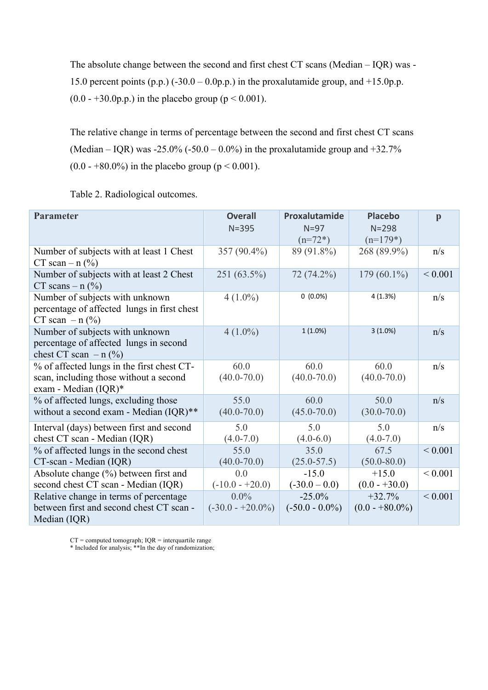The absolute change between the second and first chest CT scans (Median – IQR) was - 15.0 percent points  $(p.p.)$  (-30.0 – 0.0p.p.) in the proxalutamide group, and +15.0p.p.  $(0.0 - +30.0p.p.)$  in the placebo group ( $p < 0.001$ ).

The relative change in terms of percentage between the second and first chest CT scans (Median – IQR) was -25.0% (-50.0 – 0.0%) in the proxalutamide group and  $+32.7%$  $(0.0 - +80.0\%)$  in the placebo group ( $p < 0.001$ ).

Table 2. Radiological outcomes.

| <b>Parameter</b>                                                                                             | <b>Overall</b><br>$N = 395$    | Proxalutamide<br>$N=97$<br>$(n=72*)$ | <b>Placebo</b><br>$N = 298$<br>$(n=179*)$ | $\mathbf{p}$ |
|--------------------------------------------------------------------------------------------------------------|--------------------------------|--------------------------------------|-------------------------------------------|--------------|
| Number of subjects with at least 1 Chest<br>CT scan – $n$ (%)                                                | 357 (90.4%)                    | 89 (91.8%)                           | 268 (89.9%)                               | n/s          |
| Number of subjects with at least 2 Chest<br>CT scans $- n$ (%)                                               | 251 (63.5%)                    | 72 (74.2%)                           | 179 $(60.1\%)$                            | ${}< 0.001$  |
| Number of subjects with unknown<br>percentage of affected lungs in first chest<br>CT scan $- n$ (%)          | $4(1.0\%)$                     | $0(0.0\%)$                           | 4(1.3%)                                   | n/s          |
| Number of subjects with unknown<br>percentage of affected lungs in second<br>chest CT scan $- n$ (%)         | $4(1.0\%)$                     | $1(1.0\%)$                           | $3(1.0\%)$                                | n/s          |
| % of affected lungs in the first chest CT-<br>scan, including those without a second<br>exam - Median (IQR)* | 60.0<br>$(40.0 - 70.0)$        | 60.0<br>$(40.0 - 70.0)$              | 60.0<br>$(40.0 - 70.0)$                   | n/s          |
| % of affected lungs, excluding those<br>without a second exam - Median (IQR)**                               | 55.0<br>$(40.0 - 70.0)$        | 60.0<br>$(45.0 - 70.0)$              | 50.0<br>$(30.0 - 70.0)$                   | n/s          |
| Interval (days) between first and second<br>chest CT scan - Median (IQR)                                     | 5.0<br>$(4.0 - 7.0)$           | 5.0<br>$(4.0-6.0)$                   | 5.0<br>$(4.0 - 7.0)$                      | n/s          |
| % of affected lungs in the second chest<br>CT-scan - Median (IQR)                                            | 55.0<br>$(40.0 - 70.0)$        | 35.0<br>$(25.0 - 57.5)$              | 67.5<br>$(50.0 - 80.0)$                   | ${}< 0.001$  |
| Absolute change $(\%)$ between first and<br>second chest CT scan - Median (IQR)                              | 0.0<br>$(-10.0 - +20.0)$       | $-15.0$<br>$(-30.0 - 0.0)$           | $+15.0$<br>$(0.0 - +30.0)$                | ${}< 0.001$  |
| Relative change in terms of percentage<br>between first and second chest CT scan -<br>Median (IQR)           | $0.0\%$<br>$(-30.0 - +20.0\%)$ | $-25.0%$<br>$(-50.0 - 0.0\%)$        | $+32.7%$<br>$(0.0 - +80.0\%)$             | ${}< 0.001$  |

 $CT = computed tomograph; IQR = interquartile range$ 

\* Included for analysis; \*\*In the day of randomization;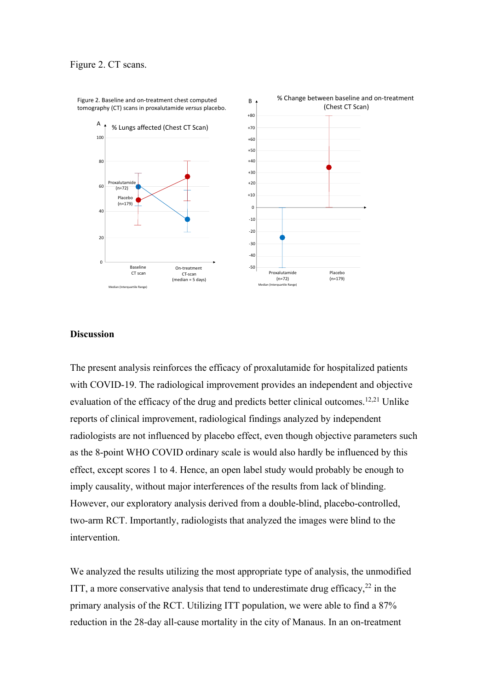

% Change between baseline and on-treatment

Figure 2. Baseline and on-treatment chest computed B tomography (CT) scans in proxalutamide *versus* placebo.

## **Discussion**

The present analysis reinforces the efficacy of proxalutamide for hospitalized patients with COVID-19. The radiological improvement provides an independent and objective evaluation of the efficacy of the drug and predicts better clinical outcomes.<sup>12,21</sup> Unlike reports of clinical improvement, radiological findings analyzed by independent radiologists are not influenced by placebo effect, even though objective parameters such as the 8-point WHO COVID ordinary scale is would also hardly be influenced by this effect, except scores 1 to 4. Hence, an open label study would probably be enough to imply causality, without major interferences of the results from lack of blinding. However, our exploratory analysis derived from a double-blind, placebo-controlled, two-arm RCT. Importantly, radiologists that analyzed the images were blind to the intervention.

We analyzed the results utilizing the most appropriate type of analysis, the unmodified ITT, a more conservative analysis that tend to underestimate drug efficacy,  $22$  in the primary analysis of the RCT. Utilizing ITT population, we were able to find a 87% reduction in the 28-day all-cause mortality in the city of Manaus. In an on-treatment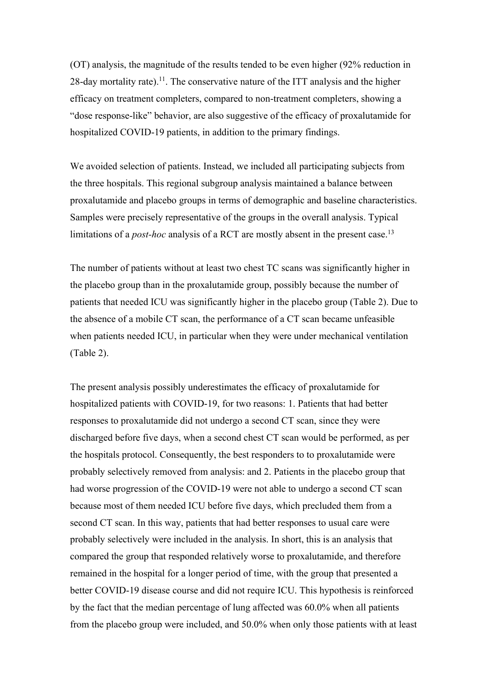(OT) analysis, the magnitude of the results tended to be even higher (92% reduction in 28-day mortality rate).<sup>11</sup>. The conservative nature of the ITT analysis and the higher efficacy on treatment completers, compared to non-treatment completers, showing a "dose response-like" behavior, are also suggestive of the efficacy of proxalutamide for hospitalized COVID-19 patients, in addition to the primary findings.

We avoided selection of patients. Instead, we included all participating subjects from the three hospitals. This regional subgroup analysis maintained a balance between proxalutamide and placebo groups in terms of demographic and baseline characteristics. Samples were precisely representative of the groups in the overall analysis. Typical limitations of a *post-hoc* analysis of a RCT are mostly absent in the present case. 13

The number of patients without at least two chest TC scans was significantly higher in the placebo group than in the proxalutamide group, possibly because the number of patients that needed ICU was significantly higher in the placebo group (Table 2). Due to the absence of a mobile CT scan, the performance of a CT scan became unfeasible when patients needed ICU, in particular when they were under mechanical ventilation (Table 2).

The present analysis possibly underestimates the efficacy of proxalutamide for hospitalized patients with COVID-19, for two reasons: 1. Patients that had better responses to proxalutamide did not undergo a second CT scan, since they were discharged before five days, when a second chest CT scan would be performed, as per the hospitals protocol. Consequently, the best responders to to proxalutamide were probably selectively removed from analysis: and 2. Patients in the placebo group that had worse progression of the COVID-19 were not able to undergo a second CT scan because most of them needed ICU before five days, which precluded them from a second CT scan. In this way, patients that had better responses to usual care were probably selectively were included in the analysis. In short, this is an analysis that compared the group that responded relatively worse to proxalutamide, and therefore remained in the hospital for a longer period of time, with the group that presented a better COVID-19 disease course and did not require ICU. This hypothesis is reinforced by the fact that the median percentage of lung affected was 60.0% when all patients from the placebo group were included, and 50.0% when only those patients with at least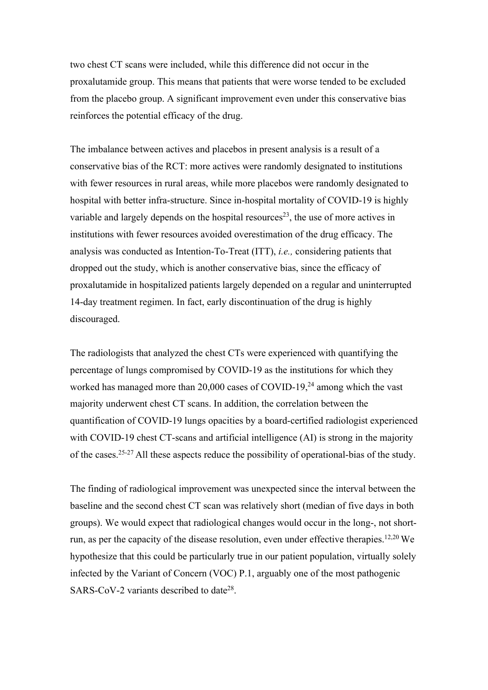two chest CT scans were included, while this difference did not occur in the proxalutamide group. This means that patients that were worse tended to be excluded from the placebo group. A significant improvement even under this conservative bias reinforces the potential efficacy of the drug.

The imbalance between actives and placebos in present analysis is a result of a conservative bias of the RCT: more actives were randomly designated to institutions with fewer resources in rural areas, while more placebos were randomly designated to hospital with better infra-structure. Since in-hospital mortality of COVID-19 is highly variable and largely depends on the hospital resources<sup>23</sup>, the use of more actives in institutions with fewer resources avoided overestimation of the drug efficacy. The analysis was conducted as Intention-To-Treat (ITT), *i.e.,* considering patients that dropped out the study, which is another conservative bias, since the efficacy of proxalutamide in hospitalized patients largely depended on a regular and uninterrupted 14-day treatment regimen. In fact, early discontinuation of the drug is highly discouraged.

The radiologists that analyzed the chest CTs were experienced with quantifying the percentage of lungs compromised by COVID-19 as the institutions for which they worked has managed more than  $20,000$  cases of COVID-19,<sup>24</sup> among which the vast majority underwent chest CT scans. In addition, the correlation between the quantification of COVID-19 lungs opacities by a board-certified radiologist experienced with COVID-19 chest CT-scans and artificial intelligence (AI) is strong in the majority of the cases.25-27 All these aspects reduce the possibility of operational-bias of the study.

The finding of radiological improvement was unexpected since the interval between the baseline and the second chest CT scan was relatively short (median of five days in both groups). We would expect that radiological changes would occur in the long-, not shortrun, as per the capacity of the disease resolution, even under effective therapies.<sup>12,20</sup> We hypothesize that this could be particularly true in our patient population, virtually solely infected by the Variant of Concern (VOC) P.1, arguably one of the most pathogenic SARS-CoV-2 variants described to date<sup>28</sup>.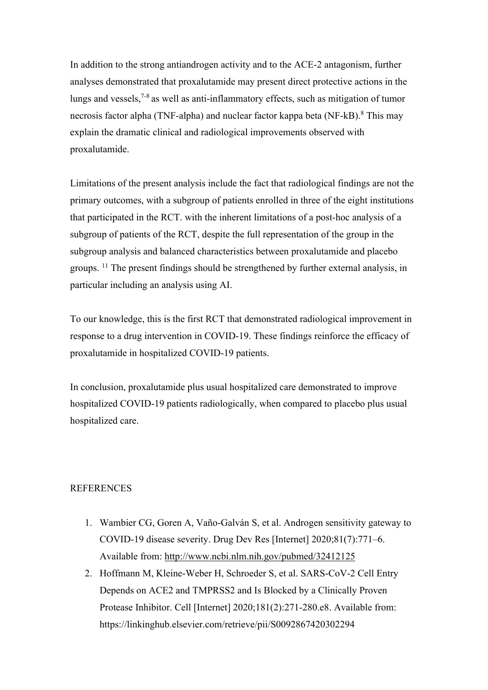In addition to the strong antiandrogen activity and to the ACE-2 antagonism, further analyses demonstrated that proxalutamide may present direct protective actions in the lungs and vessels,  $7-8$  as well as anti-inflammatory effects, such as mitigation of tumor necrosis factor alpha (TNF-alpha) and nuclear factor kappa beta (NF-kB).<sup>8</sup> This may explain the dramatic clinical and radiological improvements observed with proxalutamide.

Limitations of the present analysis include the fact that radiological findings are not the primary outcomes, with a subgroup of patients enrolled in three of the eight institutions that participated in the RCT. with the inherent limitations of a post-hoc analysis of a subgroup of patients of the RCT, despite the full representation of the group in the subgroup analysis and balanced characteristics between proxalutamide and placebo groups. 11 The present findings should be strengthened by further external analysis, in particular including an analysis using AI.

To our knowledge, this is the first RCT that demonstrated radiological improvement in response to a drug intervention in COVID-19. These findings reinforce the efficacy of proxalutamide in hospitalized COVID-19 patients.

In conclusion, proxalutamide plus usual hospitalized care demonstrated to improve hospitalized COVID-19 patients radiologically, when compared to placebo plus usual hospitalized care.

# **REFERENCES**

- 1. Wambier CG, Goren A, Vaño-Galván S, et al. Androgen sensitivity gateway to COVID-19 disease severity. Drug Dev Res [Internet] 2020;81(7):771–6. Available from: http://www.ncbi.nlm.nih.gov/pubmed/32412125
- 2. Hoffmann M, Kleine-Weber H, Schroeder S, et al. SARS-CoV-2 Cell Entry Depends on ACE2 and TMPRSS2 and Is Blocked by a Clinically Proven Protease Inhibitor. Cell [Internet] 2020;181(2):271-280.e8. Available from: https://linkinghub.elsevier.com/retrieve/pii/S0092867420302294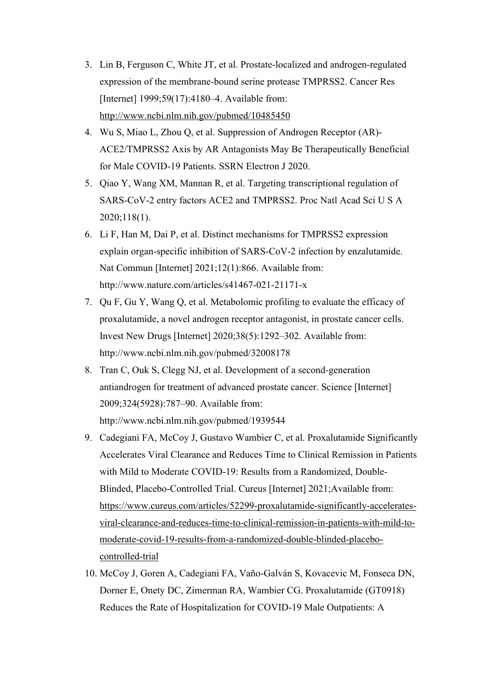- 3. Lin B, Ferguson C, White JT, et al. Prostate-localized and androgen-regulated expression of the membrane-bound serine protease TMPRSS2. Cancer Res [Internet] 1999;59(17):4180-4. Available from: http://www.ncbi.nlm.nih.gov/pubmed/10485450
- 4. Wu S, Miao L, Zhou Q, et al. Suppression of Androgen Receptor (AR)- ACE2/TMPRSS2 Axis by AR Antagonists May Be Therapeutically Beneficial for Male COVID-19 Patients. SSRN Electron J 2020.
- 5. Qiao Y, Wang XM, Mannan R, et al. Targeting transcriptional regulation of SARS-CoV-2 entry factors ACE2 and TMPRSS2. Proc Natl Acad Sci U S A 2020;118(1).
- 6. Li F, Han M, Dai P, et al. Distinct mechanisms for TMPRSS2 expression explain organ-specific inhibition of SARS-CoV-2 infection by enzalutamide. Nat Commun [Internet] 2021;12(1):866. Available from: http://www.nature.com/articles/s41467-021-21171-x
- 7. Qu F, Gu Y, Wang Q, et al. Metabolomic profiling to evaluate the efficacy of proxalutamide, a novel androgen receptor antagonist, in prostate cancer cells. Invest New Drugs [Internet] 2020;38(5):1292–302. Available from: http://www.ncbi.nlm.nih.gov/pubmed/32008178
- 8. Tran C, Ouk S, Clegg NJ, et al. Development of a second-generation antiandrogen for treatment of advanced prostate cancer. Science [Internet] 2009;324(5928):787–90. Available from: http://www.ncbi.nlm.nih.gov/pubmed/1939544
- 9. Cadegiani FA, McCoy J, Gustavo Wambier C, et al. Proxalutamide Significantly Accelerates Viral Clearance and Reduces Time to Clinical Remission in Patients with Mild to Moderate COVID-19: Results from a Randomized, Double-Blinded, Placebo-Controlled Trial. Cureus [Internet] 2021;Available from: https://www.cureus.com/articles/52299-proxalutamide-significantly-acceleratesviral-clearance-and-reduces-time-to-clinical-remission-in-patients-with-mild-tomoderate-covid-19-results-from-a-randomized-double-blinded-placebocontrolled-trial
- 10. McCoy J, Goren A, Cadegiani FA, Vaño-Galván S, Kovacevic M, Fonseca DN, Dorner E, Onety DC, Zimerman RA, Wambier CG. Proxalutamide (GT0918) Reduces the Rate of Hospitalization for COVID-19 Male Outpatients: A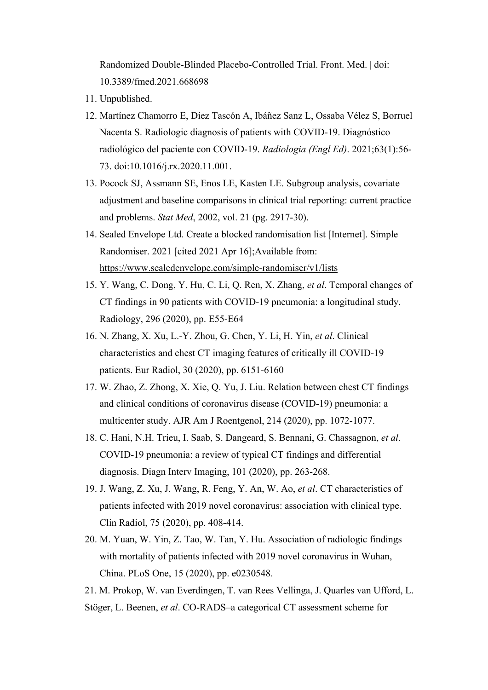Randomized Double-Blinded Placebo-Controlled Trial. Front. Med. | doi: 10.3389/fmed.2021.668698

- 11. Unpublished.
- 12. Martínez Chamorro E, Díez Tascón A, Ibáñez Sanz L, Ossaba Vélez S, Borruel Nacenta S. Radiologic diagnosis of patients with COVID-19. Diagnóstico radiológico del paciente con COVID-19. *Radiologia (Engl Ed)*. 2021;63(1):56- 73. doi:10.1016/j.rx.2020.11.001.
- 13. Pocock SJ, Assmann SE, Enos LE, Kasten LE. Subgroup analysis, covariate adjustment and baseline comparisons in clinical trial reporting: current practice and problems. *Stat Med*, 2002, vol. 21 (pg. 2917-30).
- 14. Sealed Envelope Ltd. Create a blocked randomisation list [Internet]. Simple Randomiser. 2021 [cited 2021 Apr 16];Available from: https://www.sealedenvelope.com/simple-randomiser/v1/lists
- 15. Y. Wang, C. Dong, Y. Hu, C. Li, Q. Ren, X. Zhang, *et al*. Temporal changes of CT findings in 90 patients with COVID-19 pneumonia: a longitudinal study. Radiology, 296 (2020), pp. E55-E64
- 16. N. Zhang, X. Xu, L.-Y. Zhou, G. Chen, Y. Li, H. Yin, *et al*. Clinical characteristics and chest CT imaging features of critically ill COVID-19 patients. Eur Radiol, 30 (2020), pp. 6151-6160
- 17. W. Zhao, Z. Zhong, X. Xie, Q. Yu, J. Liu. Relation between chest CT findings and clinical conditions of coronavirus disease (COVID-19) pneumonia: a multicenter study. AJR Am J Roentgenol, 214 (2020), pp. 1072-1077.
- 18. C. Hani, N.H. Trieu, I. Saab, S. Dangeard, S. Bennani, G. Chassagnon, *et al*. COVID-19 pneumonia: a review of typical CT findings and differential diagnosis. Diagn Interv Imaging, 101 (2020), pp. 263-268.
- 19. J. Wang, Z. Xu, J. Wang, R. Feng, Y. An, W. Ao, *et al*. CT characteristics of patients infected with 2019 novel coronavirus: association with clinical type. Clin Radiol, 75 (2020), pp. 408-414.
- 20. M. Yuan, W. Yin, Z. Tao, W. Tan, Y. Hu. Association of radiologic findings with mortality of patients infected with 2019 novel coronavirus in Wuhan, China. PLoS One, 15 (2020), pp. e0230548.
- 21. M. Prokop, W. van Everdingen, T. van Rees Vellinga, J. Quarles van Ufford, L.
- Stöger, L. Beenen, *et al*. CO-RADS–a categorical CT assessment scheme for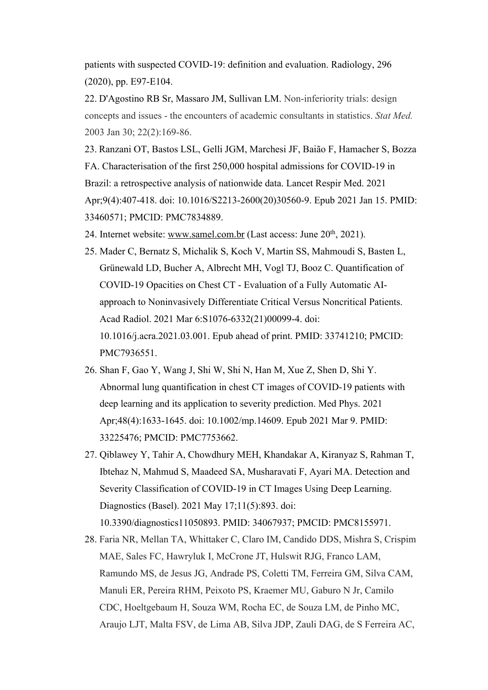patients with suspected COVID-19: definition and evaluation. Radiology, 296 (2020), pp. E97-E104.

22. D'Agostino RB Sr, Massaro JM, Sullivan LM. Non-inferiority trials: design concepts and issues - the encounters of academic consultants in statistics. *Stat Med.*  2003 Jan 30; 22(2):169-86.

23. Ranzani OT, Bastos LSL, Gelli JGM, Marchesi JF, Baião F, Hamacher S, Bozza FA. Characterisation of the first 250,000 hospital admissions for COVID-19 in Brazil: a retrospective analysis of nationwide data. Lancet Respir Med. 2021 Apr;9(4):407-418. doi: 10.1016/S2213-2600(20)30560-9. Epub 2021 Jan 15. PMID: 33460571; PMCID: PMC7834889.

- 24. Internet website: www.samel.com.br (Last access: June 20<sup>th</sup>, 2021).
- 25. Mader C, Bernatz S, Michalik S, Koch V, Martin SS, Mahmoudi S, Basten L, Grünewald LD, Bucher A, Albrecht MH, Vogl TJ, Booz C. Quantification of COVID-19 Opacities on Chest CT - Evaluation of a Fully Automatic AIapproach to Noninvasively Differentiate Critical Versus Noncritical Patients. Acad Radiol. 2021 Mar 6:S1076-6332(21)00099-4. doi: 10.1016/j.acra.2021.03.001. Epub ahead of print. PMID: 33741210; PMCID: PMC7936551.
- 26. Shan F, Gao Y, Wang J, Shi W, Shi N, Han M, Xue Z, Shen D, Shi Y. Abnormal lung quantification in chest CT images of COVID-19 patients with deep learning and its application to severity prediction. Med Phys. 2021 Apr;48(4):1633-1645. doi: 10.1002/mp.14609. Epub 2021 Mar 9. PMID: 33225476; PMCID: PMC7753662.
- 27. Qiblawey Y, Tahir A, Chowdhury MEH, Khandakar A, Kiranyaz S, Rahman T, Ibtehaz N, Mahmud S, Maadeed SA, Musharavati F, Ayari MA. Detection and Severity Classification of COVID-19 in CT Images Using Deep Learning. Diagnostics (Basel). 2021 May 17;11(5):893. doi: 10.3390/diagnostics11050893. PMID: 34067937; PMCID: PMC8155971.
- 28. Faria NR, Mellan TA, Whittaker C, Claro IM, Candido DDS, Mishra S, Crispim MAE, Sales FC, Hawryluk I, McCrone JT, Hulswit RJG, Franco LAM, Ramundo MS, de Jesus JG, Andrade PS, Coletti TM, Ferreira GM, Silva CAM, Manuli ER, Pereira RHM, Peixoto PS, Kraemer MU, Gaburo N Jr, Camilo CDC, Hoeltgebaum H, Souza WM, Rocha EC, de Souza LM, de Pinho MC, Araujo LJT, Malta FSV, de Lima AB, Silva JDP, Zauli DAG, de S Ferreira AC,